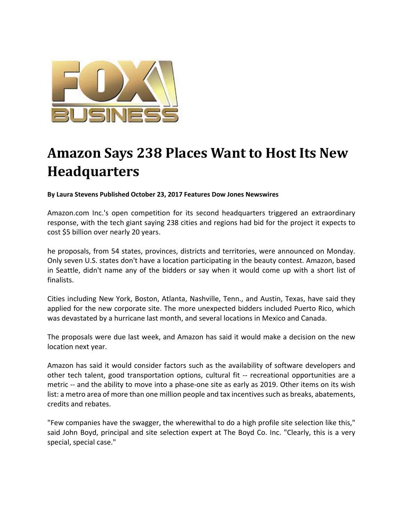

## **Amazon Says 238 Places Want to Host Its New Headquarters**

**By Laura Stevens Published October 23, 2017 Features Dow Jones Newswires** 

Amazon.com Inc.'s open competition for its second headquarters triggered an extraordinary response, with the tech giant saying 238 cities and regions had bid for the project it expects to cost \$5 billion over nearly 20 years.

he proposals, from 54 states, provinces, districts and territories, were announced on Monday. Only seven U.S. states don't have a location participating in the beauty contest. Amazon, based in Seattle, didn't name any of the bidders or say when it would come up with a short list of finalists.

Cities including New York, Boston, Atlanta, Nashville, Tenn., and Austin, Texas, have said they applied for the new corporate site. The more unexpected bidders included Puerto Rico, which was devastated by a hurricane last month, and several locations in Mexico and Canada.

The proposals were due last week, and Amazon has said it would make a decision on the new location next year.

Amazon has said it would consider factors such as the availability of software developers and other tech talent, good transportation options, cultural fit -- recreational opportunities are a metric -- and the ability to move into a phase-one site as early as 2019. Other items on its wish list: a metro area of more than one million people and tax incentives such as breaks, abatements, credits and rebates.

"Few companies have the swagger, the wherewithal to do a high profile site selection like this," said John Boyd, principal and site selection expert at The Boyd Co. Inc. "Clearly, this is a very special, special case."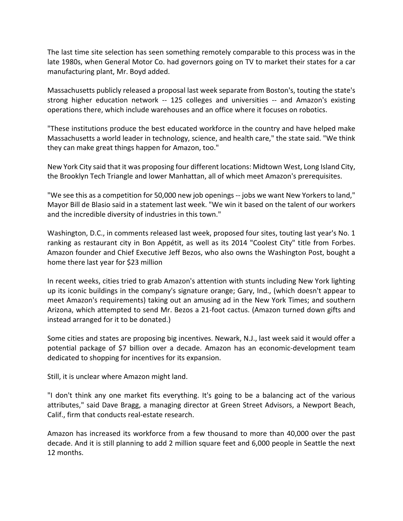The last time site selection has seen something remotely comparable to this process was in the late 1980s, when General Motor Co. had governors going on TV to market their states for a car manufacturing plant, Mr. Boyd added.

Massachusetts publicly released a proposal last week separate from Boston's, touting the state's strong higher education network ‐‐ 125 colleges and universities ‐‐ and Amazon's existing operations there, which include warehouses and an office where it focuses on robotics.

"These institutions produce the best educated workforce in the country and have helped make Massachusetts a world leader in technology, science, and health care," the state said. "We think they can make great things happen for Amazon, too."

New York City said that it was proposing four different locations: Midtown West, Long Island City, the Brooklyn Tech Triangle and lower Manhattan, all of which meet Amazon's prerequisites.

"We see this as a competition for 50,000 new job openings ‐‐ jobs we want New Yorkers to land," Mayor Bill de Blasio said in a statement last week. "We win it based on the talent of our workers and the incredible diversity of industries in this town."

Washington, D.C., in comments released last week, proposed four sites, touting last year's No. 1 ranking as restaurant city in Bon Appétit, as well as its 2014 "Coolest City" title from Forbes. Amazon founder and Chief Executive Jeff Bezos, who also owns the Washington Post, bought a home there last year for \$23 million

In recent weeks, cities tried to grab Amazon's attention with stunts including New York lighting up its iconic buildings in the company's signature orange; Gary, Ind., (which doesn't appear to meet Amazon's requirements) taking out an amusing ad in the New York Times; and southern Arizona, which attempted to send Mr. Bezos a 21‐foot cactus. (Amazon turned down gifts and instead arranged for it to be donated.)

Some cities and states are proposing big incentives. Newark, N.J., last week said it would offer a potential package of \$7 billion over a decade. Amazon has an economic‐development team dedicated to shopping for incentives for its expansion.

Still, it is unclear where Amazon might land.

"I don't think any one market fits everything. It's going to be a balancing act of the various attributes," said Dave Bragg, a managing director at Green Street Advisors, a Newport Beach, Calif., firm that conducts real‐estate research.

Amazon has increased its workforce from a few thousand to more than 40,000 over the past decade. And it is still planning to add 2 million square feet and 6,000 people in Seattle the next 12 months.